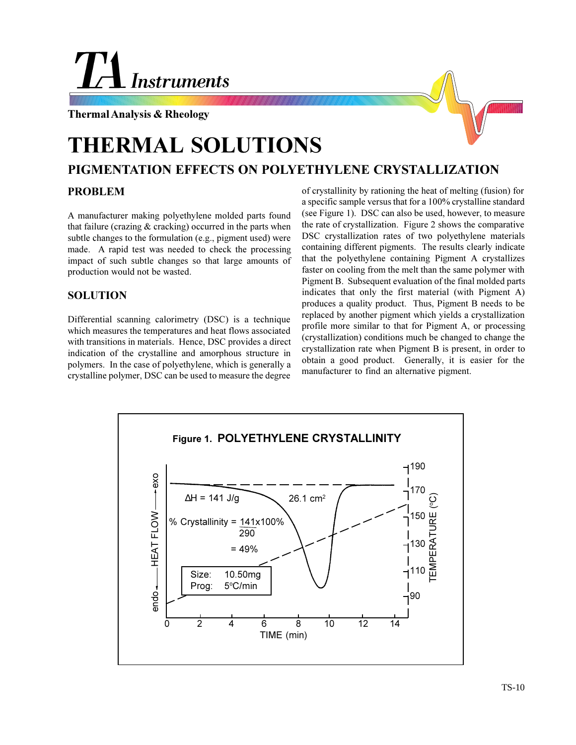# **Instruments**

**Thermal Analysis & Rheology**



# **THERMAL SOLUTIONS**

## **PIGMENTATION EFFECTS ON POLYETHYLENE CRYSTALLIZATION**

#### **PROBLEM**

A manufacturer making polyethylene molded parts found that failure (crazing  $&$  cracking) occurred in the parts when subtle changes to the formulation (e.g., pigment used) were made. A rapid test was needed to check the processing impact of such subtle changes so that large amounts of production would not be wasted.

### **SOLUTION**

Differential scanning calorimetry (DSC) is a technique which measures the temperatures and heat flows associated with transitions in materials. Hence, DSC provides a direct indication of the crystalline and amorphous structure in polymers. In the case of polyethylene, which is generally a crystalline polymer, DSC can be used to measure the degree

of crystallinity by rationing the heat of melting (fusion) for a specific sample versus that for a 100% crystalline standard (see Figure 1). DSC can also be used, however, to measure the rate of crystallization. Figure 2 shows the comparative DSC crystallization rates of two polyethylene materials containing different pigments. The results clearly indicate that the polyethylene containing Pigment A crystallizes faster on cooling from the melt than the same polymer with Pigment B. Subsequent evaluation of the final molded parts indicates that only the first material (with Pigment A) produces a quality product. Thus, Pigment B needs to be replaced by another pigment which yields a crystallization profile more similar to that for Pigment A, or processing (crystallization) conditions much be changed to change the crystallization rate when Pigment B is present, in order to obtain a good product. Generally, it is easier for the manufacturer to find an alternative pigment.